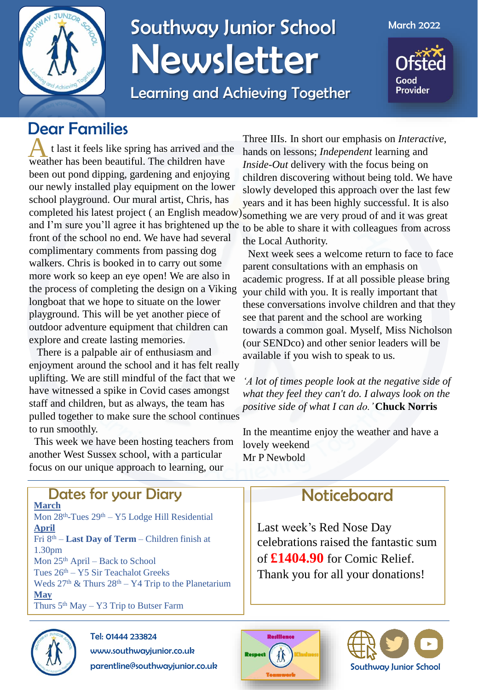

## Southway Junior School Newsletter

Learning and Achieving Together

March 2022

Good **Provider** 

## Dear Families

t last it feels like spring has arrived and the weather has been beautiful. The children have t last it feels like spring has arrived and the been out pond dipping, gardening and enjoying our newly installed play equipment on the lower school playground. Our mural artist, Chris, has completed his latest project (an English meadow) something we are very proud of and it was great and I'm sure you'll agree it has brightened up the front of the school no end. We have had several complimentary comments from passing dog walkers. Chris is booked in to carry out some more work so keep an eye open! We are also in the process of completing the design on a Viking longboat that we hope to situate on the lower playground. This will be yet another piece of outdoor adventure equipment that children can explore and create lasting memories.

There is a palpable air of enthusiasm and enjoyment around the school and it has felt really uplifting. We are still mindful of the fact that we have witnessed a spike in Covid cases amongst staff and children, but as always, the team has pulled together to make sure the school continues to run smoothly.

This week we have been hosting teachers from another West Sussex school, with a particular focus on our unique approach to learning, our

Three IIIs. In short our emphasis on *Interactive*, hands on lessons; *Independent* learning and *Inside-Out* delivery with the focus being on children discovering without being told. We have slowly developed this approach over the last few years and it has been highly successful. It is also to be able to share it with colleagues from across the Local Authority.

Next week sees a welcome return to face to face parent consultations with an emphasis on academic progress. If at all possible please bring your child with you. It is really important that these conversations involve children and that they see that parent and the school are working towards a common goal. Myself, Miss Nicholson (our SENDco) and other senior leaders will be available if you wish to speak to us.

*'A lot of times people look at the negative side of what they feel they can't do. I always look on the positive side of what I can do.'* **Chuck Norris**

In the meantime enjoy the weather and have a lovely weekend Mr P Newbold

## **Noticeboard**

Last week's Red Nose Day celebrations raised the fantastic sum of **£1404.90** for Comic Relief. Thank you for all your donations!





**March** Mon 28<sup>th</sup>-Tues 29<sup>th</sup> – Y5 Lodge Hill Residential **April** Fri 8th – **Last Day of Term** – Children finish at 1.30pm Mon 25th April – Back to School Tues 26th – Y5 Sir Teachalot Greeks Weds  $27<sup>th</sup>$  & Thurs  $28<sup>th</sup> - Y4$  Trip to the Planetarium **May** Thurs  $5<sup>th</sup>$  May – Y3 Trip to Butser Farm Dates for your Diary



Tel: 01444 233824 www.southwayjunior.co.uk parentline@southwayjunior.co.uk